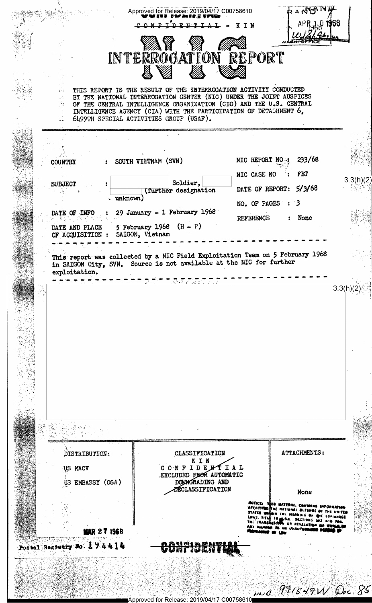|                                                      | ◎くは<br>INTERROGATION REPORT                                                                                                                                                         | $APR_{AB}Q$ 1968<br>KTN<br>1/249                                                                                                                                                                     |            |
|------------------------------------------------------|-------------------------------------------------------------------------------------------------------------------------------------------------------------------------------------|------------------------------------------------------------------------------------------------------------------------------------------------------------------------------------------------------|------------|
|                                                      |                                                                                                                                                                                     |                                                                                                                                                                                                      |            |
|                                                      | THIS REPORT IS THE RESULT OF THE INTERROGATION ACTIVITY CONDUCTED<br>BY THE NATIONAL INTERROGATION CENTER (NIC) UNDER THE JOINT AUSPICES                                            |                                                                                                                                                                                                      |            |
|                                                      | OF THE CENTRAL INTELLIGENCE ORGANIZATION (CIO) AND THE U.S. CENTRAL<br>INTELLIGENCE AGENCY (CIA) WITH THE PARTICIPATION OF DETACHMENT 6,<br>6499TH SPECIAL ACTIVITIES GROUP (USAF). |                                                                                                                                                                                                      |            |
|                                                      |                                                                                                                                                                                     |                                                                                                                                                                                                      |            |
| <b>COUNTRY</b>                                       | SOUTH VIETNAM (SVN)                                                                                                                                                                 | 233/68<br>NIC REPORT NO                                                                                                                                                                              |            |
| <b>SUBJECT</b>                                       | Soldier,                                                                                                                                                                            | FET<br>NIC CASE NO                                                                                                                                                                                   | 3.3(h)(2)  |
| $\sqrt{unknown}$                                     | (further designation                                                                                                                                                                | DATE OF REPORT: 5/3/68<br>NO. OF PAGES : 3                                                                                                                                                           |            |
| DATE OF INFO                                         | 29 January - $1$ February 1968                                                                                                                                                      | REFERENCE<br>None                                                                                                                                                                                    |            |
| DATE AND PLACE<br>OF ACQUISITION :                   | 5 February 1968 $(H - P)$<br>SAIGON, Vietnam                                                                                                                                        |                                                                                                                                                                                                      |            |
|                                                      |                                                                                                                                                                                     |                                                                                                                                                                                                      |            |
|                                                      |                                                                                                                                                                                     |                                                                                                                                                                                                      |            |
|                                                      |                                                                                                                                                                                     | z.                                                                                                                                                                                                   |            |
|                                                      |                                                                                                                                                                                     |                                                                                                                                                                                                      |            |
| DISTRIBUTION:                                        | CLASSIFICATION<br>KIN                                                                                                                                                               | ATTACHMENTS:                                                                                                                                                                                         |            |
| US NACV                                              |                                                                                                                                                                                     |                                                                                                                                                                                                      |            |
| US EMBASSY (OSA)                                     | CONFIDENTIAL<br>EXCLUDED FROM AUTOMATIC<br>DOGROHADING AND<br><b>DÉCLASSIFICATION</b>                                                                                               | None                                                                                                                                                                                                 |            |
|                                                      |                                                                                                                                                                                     | MOTICE: THIS MATERIAL<br><b>AFFECTRIC THE NATIONAL</b><br>STATES WIRNIN FILE READING OF<br><b>GIL ESPIUNAGE</b><br>LAWS. TITLE 18 S.C. SECTIONS 203 4ND 704.<br>ASSIUN OR REVELATION GA<br>AN UNAUTH | THE UNITED |
| <b>MAR 27 1968</b><br>Postal Begintry No. 1 7 4 4 14 |                                                                                                                                                                                     |                                                                                                                                                                                                      |            |
|                                                      |                                                                                                                                                                                     |                                                                                                                                                                                                      |            |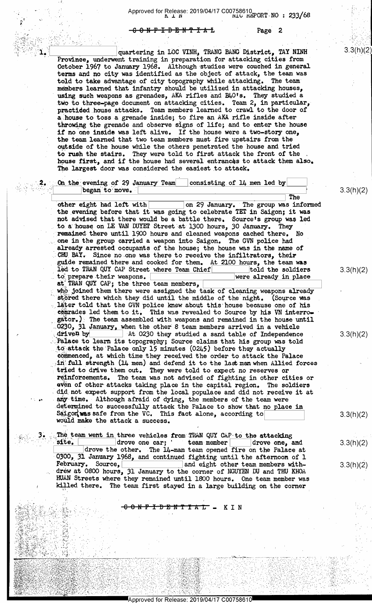$-6.9$  N-F-I-D-E-N-T-I-A-L Page 2

Zna za stanovnosti se obrazu se obrazu se obrazu se obrazu se obrazu se obrazu se obrazu se obrazu se obrazu s

quartering in LOC VINH, TRANG BANG District, TAY NINH Province, underwent training in preparation for attacking cities from October 1967 to January 1968 Although studies were couched in general terms and no city was identified as the object of attack, the team was told to take advantage of city topography while attacking. The team members learned that infantry should be utilized in attacking houses, using such weapons as grenades, AKA rifles and B40's. They studied a two to three-page document on attacking cities. Team 2, in particular, practiced house attacks. Team members learned to crawl to the door of a house to toss a grenade inside, to fire an AKA rifle inside after throwing the grenade and observe signs of life, and to enter the house if no one inside was left alive. If the house were a two-story one, the team learned that two team members must fire upstairs from the outside of the house while the others penetrated the house and tried to rush the stairs. They were told to first attack the front of the house first, and if the house had several-entrances to attack them also. The largest door was considered the easiest to attack.

On the evening of 29 January Team  $\vert$  consisting of 14 men led by began to move. other eight had left with The group was informed Palace to learn its topography; Source claims that his group was told other eight had left with on 29 January. The group was informed the evening before that it was going to celebrate TET in Saigon; it was not advised that there would be a battle there. Source's group was led . to a house on LE VAN DUYET Street at 1300 hours, 30 January. They ' remained there until 1900 hours and cleaned weapons cached there. No .one in the group carried a weapon into Saigon. The GVN police had already arrested occupants of the house; the house was in the name of CHU BAY. Since no one was there to receive the infiltrators, their guide remained there and cooked for them. At 2100 hours, the team was led to TRAN QUY CAP Street where Team Chief told the soldiers led to TRAN QUY CAP Street where Team Chief told the soldiers to prepare their weapons. to prepare their weapons. at TRAN QUY CAP; the three team members, who joined them there were assigned the task of cleaning weapons already stored there which they did until the middle of the night. (Source was later told that the GVN police knew about this house because one of his comrades led them to it. This was revealed to Source by his VN interrogator.)% The team assembled with weapons and remained in the house until 0230, 31 January, when the other 8 team members arrived in a vehicle driven by  $\overline{\phantom{0}}$  At 0230 they studied a sand table of Independence  $\alpha$  arive $\alpha$  by  $\Box$  At 0230 they studied a sand table of Independence to attack the Palace only 15 minutes (0245) before they actually comenced, at which time they received the order to attack the Palace  $\sin$  full strength (14 men) and defend it to the last man when Allied forces tried to drive them out. They were told to expect no reserves or reinforcements. The team was not advised of fighting in other cities or even of other attacks taking place in the capital region. The soldiers . did not expect support from the local populace and did not receive it at .any~time.»-Although afraid of dying, the members of the team were determined to successfully attack the Palace to show that no place in Saigoriwas safe from the VG. This fact alone, according would make the attack a success.

The team went in three vehicles from TRAN QUY CAP to the attacking site. In drove one car; 'team member drove one, and  $\boxed{\texttt{drive}}$  one car; ' team member drove the other. The 14-man team opened fire on the Palace at 0300, 31 January 1968, and continued fighting until the afternoon of 1 February. Source, February. Source, <u>|</u>|<br>| and eight other team members with-<br>| dréw at 0800 hours, 31 January to the corner of NGUYEN DU and THU KHOA HUAN Streets where they remained until 1800 hours. One team member was killed there. The team first stayed in a large building on the corner

. 1

<del>GONFIDENTIAL</del> - KIN

<sup>=</sup>.1 -\_".~, ; <sup>=</sup>"-..\_/,-. ' .- \_\_ \_ '. ..

,\_ v' >1 thing and the second state of the second state  $\mathcal{I}$ 1 .4 \*\

+ Y'LL AND AN AMA  $\mathcal{S}$  . In the set of  $\mathcal{S}$ 

' '

, and  $\mathcal{F}$  , if  $\mathcal{F}$  is a subset of the set of the set of the set of the set of the set of the set of the set \_ \_~ s . \* .

-/,y>~,§' fr 1,--\_.\_="=-.'\'2='-fl-\_-," » -\_ ,

-»-.=,\_,,,~ 1,,'-~\,;.;.,',,,,.\_ ~ .- .\_.....».,.-,\_., as -

MAN ASARAN MARATAN YANG LARANG LARANG LARANG LARANG LARANG LARANG LARANG LARANG LARANG LARANG LARANG LARANG LA<br>DI PARANG LARANG LARANG LARANG LARANG LARANG LARANG LARANG LARANG LARANG LARANG LARANG LARANG LARANG LARANG LA

'.-.-» ,.=.;.,--\_,.\.-=--.\4.--: .~-,~.~r».: ;. » \_

 $\frac{1}{2}$ 

- 1 '. -

¥- N <sup>I</sup>~> \ 1 ';\_.\_-\_ '.\_-\_"1\_i\_i\_;;'-H;\_'»";#r1.=-\_;\_

.\_ .\_.\_ ..;~:a..L..;\...\_.... -r--"r"-"'"—"""\*"<-rv.r?r~2¢Ywrflrw1\*xx"rr==:\*=i\*¢""Y11?":\*T=r?""'?Y'~' " " ".- - " - ' -- -

<sup>1</sup>-" a;"='~\*.--:'.'. 1- ':-3". -'.1 Eh . '.L-:w-.€'- \_-1'». ' -. = IT TO I FAIL TO A THE STRIKE IN THE STRIKE IN THE STRIKE IT AN ALL AND THE STRIKE IN THE REAL AND ALL AND LOT '- I ' ' <sup>~</sup>H , ~ ; - ; --.':.:\_\_§.\_.,\_:::'.i.\_-;\_;.\_-I .1

..'r~.<-','--.;~.-1.:.;»,y.;,.;,.. , » ~ -. 4.. \_ T )- g .. \_ \_ X. \_ .,=.,i.-.--,,\_-.'»- ..\_.»..-.-.»\_- -. -- =- - - .' .

.-x--'~.-.\-=:.- -' ~~ \_- \_=- .',~~.- .' - -' ' -\*.\_-.-.=,-», . . -, -

- ~ =' -. ->< \_.». .....=,,...\_~- .1. X.-.-I \_ .- .;~ .. 4- ~ ~. \_\_ .- <sup>v</sup>"

**()) 12. 12. : 12. : 12. : 12. : 12. : 12. : 12. : 12. : 12. : 12. : 12. : 12. : 12. : 12. : 12. : 12. : 12. : 1** 

OSTANDA LA SAN ANG

x{A .¢xa2fiEf§r"a .:~'I"7Y»"3f-\*1"? :<=§:~=1&%¢1212?i- =» i" 'r '-" v- :~~~=~ »~\_1- '.~ - - - It <sup>~</sup>' "' - IIIIIIIIIIIIIIIIIIIIIIIIIIIIII <sup>W</sup> Approved for Release. 2019/04/17 C00758610

:' .'-".'-'~'.=,'\_\_ ,~ .. . ','»'l-=-;<',\_£;";'- ,1

. . .~.'.~~.- ., --

<sup>~</sup>'\ ...,.\.\*..

\_ . \_

. ». -

<sup>I</sup>., \_ . . .. . .. \_ . . . .

 $-1.$   $-1.$   $-1.$   $-1.$   $-1.$   $-1.$   $-1.$   $-1.$   $-1.$   $-1.$   $-1.$   $-1.$   $-1.$   $-1.$   $-1.$   $-1.$   $-1.$   $-1.$   $-1.$   $-1.$   $-1.$   $-1.$   $-1.$   $-1.$   $-1.$   $-1.$   $-1.$   $-1.$   $-1.$   $-1.$   $-1.$   $-1.$   $-1.$   $-1.$   $-1.$   $-1.$   $-1.$ 

' "

 $\gamma = \gamma$  , which is a set of  $\gamma$  -  $\gamma$  ,  $\gamma$  ,  $\gamma$  ,  $\gamma$  ,  $\gamma$  ,  $\gamma$  ,  $\gamma$  ,  $\gamma$  ,  $\gamma$  ,  $\gamma$ 

: ~\_ -' x -Y .

»- . \_ .

 $\ldots$  .

-1 S" - " '

3.3(h)(2)

3.3(h)(2)

3.3(h)(Z)

3.3(h)(2)

 $3.3(h)(2)$ 

3.3(h)(2)

3.3(h)(2)